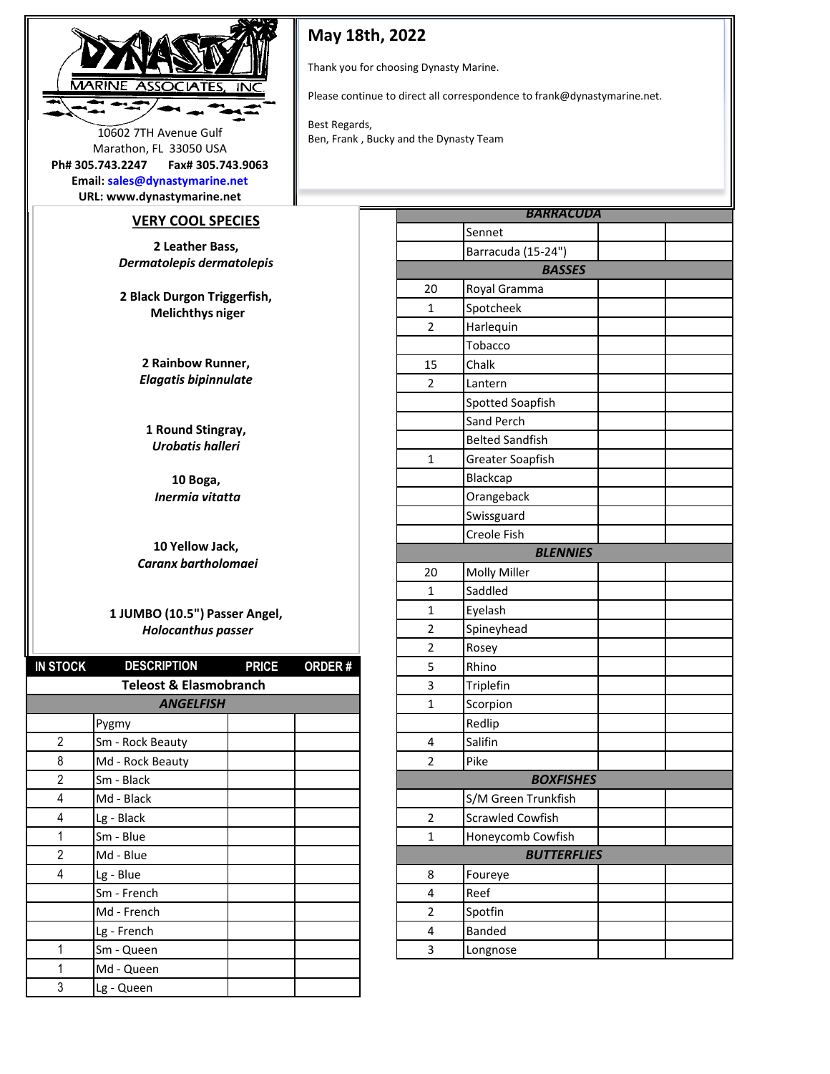

## **May 18th, 2022**

Thank you for choosing Dynasty Marine.

Please continue to direct all correspondence to frank@dynastymarine.net.

Best Regards, 10602 7TH Avenue Gulf<br>Ben, Frank , Bucky and the Dynasty Team

| Email: sales@dynastymarine.net |                   |
|--------------------------------|-------------------|
| Ph# 305.743.2247               | Fax# 305.743.9063 |
| Marathon, FL 33050 USA         |                   |
| TUUUZ 7 III AVEIIUE UUII       |                   |

**URL: www.dynastymarine.net**

## **VERY COOL SPECIES**

**2 Leather Bass,**  *Dermatolepis dermatolepis* 

**2 Black Durgon Triggerfish, Melichthys niger** 

> **2 Rainbow Runner,**  *Elagatis bipinnulate*

**1 Round Stingray,**  *Urobatis halleri*

**10 Boga,** *Inermia vitatta* 

**10 Yellow Jack,** *Caranx bartholomaei* 

## **1 JUMBO (10.5") Passer Angel,** *Holocanthus passer*

| <b>IN STOCK</b> | <b>DESCRIPTION</b>                | <b>PRICE</b> | ORDER# | 5              | Rhino                   |
|-----------------|-----------------------------------|--------------|--------|----------------|-------------------------|
|                 | <b>Teleost &amp; Elasmobranch</b> |              |        | 3              | Triplefin               |
|                 | <b>ANGELFISH</b>                  |              |        | $\mathbf{1}$   | Scorpion                |
|                 | Pygmy                             |              |        |                | Redlip                  |
| $\overline{2}$  | Sm - Rock Beauty                  |              |        | 4              | Salifin                 |
| 8               | Md - Rock Beauty                  |              |        | 2              | Pike                    |
| $\overline{2}$  | Sm - Black                        |              |        |                | <b>BOXFISHES</b>        |
| 4               | Md - Black                        |              |        |                | S/M Green Trunkfish     |
| 4               | Lg - Black                        |              |        | $\overline{2}$ | <b>Scrawled Cowfish</b> |
| 1               | Sm - Blue                         |              |        | $\mathbf{1}$   | Honeycomb Cowfish       |
| $\overline{2}$  | Md - Blue                         |              |        |                | <b>BUTTERFLIES</b>      |
| 4               | Lg - Blue                         |              |        | 8              | Foureye                 |
|                 | Sm - French                       |              |        | 4              | Reef                    |
|                 | Md - French                       |              |        | 2              | Spotfin                 |
|                 | Lg - French                       |              |        | 4              | Banded                  |
|                 | Sm - Queen                        |              |        | 3              | Longnose                |
|                 | Md - Queen                        |              |        |                |                         |
| 3               | Lg - Queen                        |              |        |                |                         |

| <b>BARRACUDA</b> |                        |  |  |  |  |
|------------------|------------------------|--|--|--|--|
|                  | Sennet                 |  |  |  |  |
|                  | Barracuda (15-24")     |  |  |  |  |
|                  | <b>BASSES</b>          |  |  |  |  |
| 20               | Royal Gramma           |  |  |  |  |
| 1                | Spotcheek              |  |  |  |  |
| $\overline{2}$   | Harlequin              |  |  |  |  |
|                  | Tobacco                |  |  |  |  |
| 15               | Chalk                  |  |  |  |  |
| $\overline{2}$   | Lantern                |  |  |  |  |
|                  | Spotted Soapfish       |  |  |  |  |
|                  | Sand Perch             |  |  |  |  |
|                  | <b>Belted Sandfish</b> |  |  |  |  |
| $\mathbf{1}$     | Greater Soapfish       |  |  |  |  |
|                  | Blackcap               |  |  |  |  |
|                  | Orangeback             |  |  |  |  |
|                  | Swissguard             |  |  |  |  |
|                  | Creole Fish            |  |  |  |  |
|                  | <b>BLENNIES</b>        |  |  |  |  |
| 20               | <b>Molly Miller</b>    |  |  |  |  |
| 1                | Saddled                |  |  |  |  |
| 1                | Eyelash                |  |  |  |  |
| $\overline{2}$   | Spineyhead             |  |  |  |  |
| $\overline{2}$   | Rosey                  |  |  |  |  |
| 5                | Rhino                  |  |  |  |  |
| 3                | Triplefin              |  |  |  |  |
| $\mathbf{1}$     | Scorpion               |  |  |  |  |
|                  | Redlip                 |  |  |  |  |
| 4                | Salifin                |  |  |  |  |
| $\overline{2}$   | Pike                   |  |  |  |  |
| <b>BOXFISHES</b> |                        |  |  |  |  |
|                  | S/M Green Trunkfish    |  |  |  |  |
| 2                | Scrawled Cowfish       |  |  |  |  |
| $\mathbf{1}$     | Honeycomb Cowfish      |  |  |  |  |
|                  | <b>BUTTERFLIES</b>     |  |  |  |  |
| 8                | Foureye                |  |  |  |  |
| 4                | Reef                   |  |  |  |  |
| $\overline{2}$   | Spotfin                |  |  |  |  |
| 4                | <b>Banded</b>          |  |  |  |  |
| 3                | Longnose               |  |  |  |  |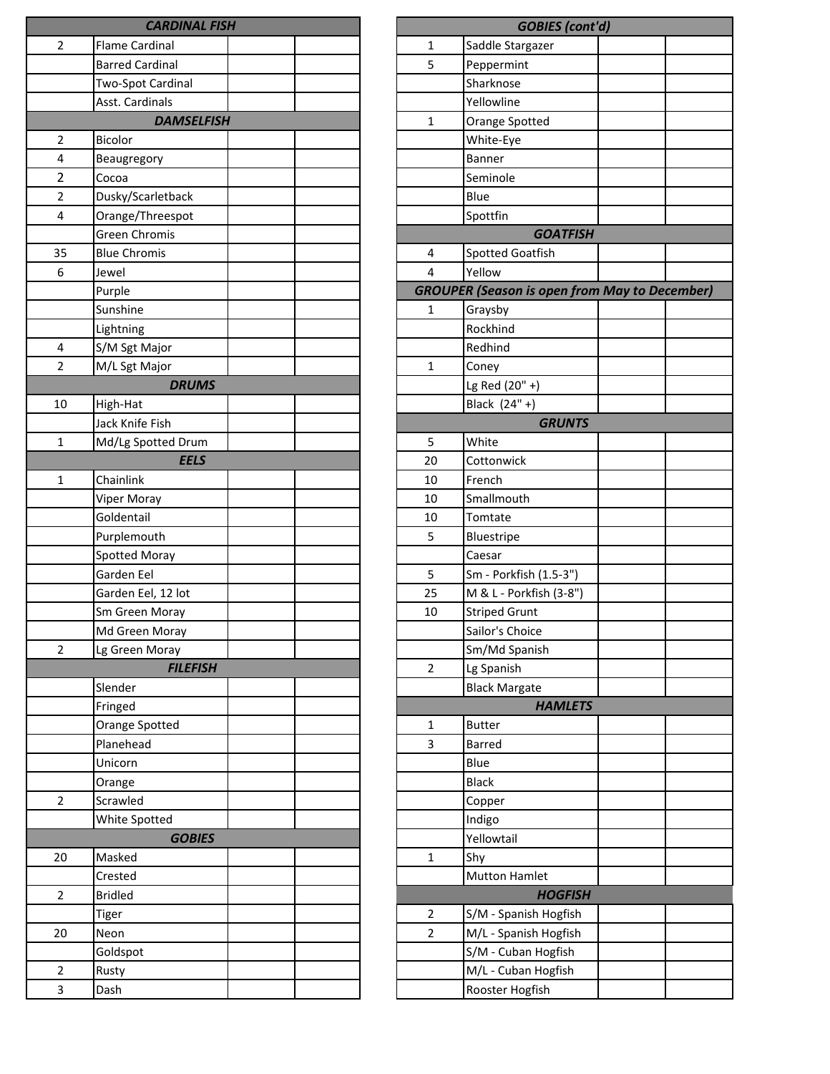|                | <b>CARDINAL FISH</b>   |  |                | <b>GOBIES</b> (cont                 |
|----------------|------------------------|--|----------------|-------------------------------------|
| $\overline{2}$ | <b>Flame Cardinal</b>  |  | 1              | Saddle Stargazer                    |
|                | <b>Barred Cardinal</b> |  | 5              | Peppermint                          |
|                | Two-Spot Cardinal      |  |                | Sharknose                           |
|                | Asst. Cardinals        |  |                | Yellowline                          |
|                | <b>DAMSELFISH</b>      |  | $\mathbf{1}$   | Orange Spotted                      |
| $\overline{2}$ | <b>Bicolor</b>         |  |                | White-Eye                           |
| 4              | Beaugregory            |  |                | Banner                              |
| 2              | Cocoa                  |  |                | Seminole                            |
| 2              | Dusky/Scarletback      |  |                | Blue                                |
| 4              | Orange/Threespot       |  |                | Spottfin                            |
|                | <b>Green Chromis</b>   |  |                | <b>GOATFISH</b>                     |
| 35             | <b>Blue Chromis</b>    |  | 4              | Spotted Goatfish                    |
| 6              | Jewel                  |  | 4              | Yellow                              |
|                | Purple                 |  |                | <b>GROUPER (Season is open fron</b> |
|                | Sunshine               |  | 1              | Graysby                             |
|                | Lightning              |  |                | Rockhind                            |
| 4              | S/M Sgt Major          |  |                | Redhind                             |
| $\overline{2}$ | M/L Sgt Major          |  | $\mathbf 1$    | Coney                               |
|                | <b>DRUMS</b>           |  |                | Lg Red (20" +)                      |
| 10             | High-Hat               |  |                | Black (24" +)                       |
|                | Jack Knife Fish        |  |                | <b>GRUNTS</b>                       |
| 1              | Md/Lg Spotted Drum     |  | 5              | White                               |
|                | <b>EELS</b>            |  | 20             | Cottonwick                          |
| 1              | Chainlink              |  | 10             | French                              |
|                | Viper Moray            |  | 10             | Smallmouth                          |
|                | Goldentail             |  | 10             | Tomtate                             |
|                | Purplemouth            |  | 5              | Bluestripe                          |
|                | Spotted Moray          |  |                | Caesar                              |
|                | Garden Eel             |  | 5              | Sm - Porkfish (1.5-3")              |
|                | Garden Eel, 12 lot     |  | 25             | M & L - Porkfish (3-8")             |
|                | Sm Green Moray         |  | 10             | <b>Striped Grunt</b>                |
|                | Md Green Moray         |  |                | Sailor's Choice                     |
| $\overline{2}$ | Lg Green Moray         |  |                | Sm/Md Spanish                       |
|                | <b>FILEFISH</b>        |  | $\overline{2}$ | Lg Spanish                          |
|                | Slender                |  |                | <b>Black Margate</b>                |
|                | Fringed                |  |                | <b>HAMLETS</b>                      |
|                | Orange Spotted         |  | 1              | <b>Butter</b>                       |
|                | Planehead              |  | 3              | <b>Barred</b>                       |
|                | Unicorn                |  |                | Blue                                |
|                | Orange                 |  |                | <b>Black</b>                        |
| $\overline{2}$ | Scrawled               |  |                | Copper                              |
|                | White Spotted          |  |                | Indigo                              |
|                | <b>GOBIES</b>          |  |                | Yellowtail                          |
| 20             | Masked                 |  | $\mathbf{1}$   | Shy                                 |
|                | Crested                |  |                | <b>Mutton Hamlet</b>                |
| $\overline{2}$ | <b>Bridled</b>         |  |                | <b>HOGFISH</b>                      |
|                | Tiger                  |  | 2              | S/M - Spanish Hogfish               |
| 20             | Neon                   |  | $\overline{2}$ | M/L - Spanish Hogfish               |
|                | Goldspot               |  |                | S/M - Cuban Hogfish                 |
| $\overline{2}$ | Rusty                  |  |                | M/L - Cuban Hogfish                 |
| 3              | Dash                   |  |                | Rooster Hogfish                     |

| <b>GOBIES</b> (cont'd) |                                                      |  |  |  |  |
|------------------------|------------------------------------------------------|--|--|--|--|
| 1                      | Saddle Stargazer                                     |  |  |  |  |
| 5                      | Peppermint                                           |  |  |  |  |
|                        | Sharknose                                            |  |  |  |  |
|                        | Yellowline                                           |  |  |  |  |
| 1                      | Orange Spotted                                       |  |  |  |  |
|                        | White-Eye                                            |  |  |  |  |
|                        | <b>Banner</b>                                        |  |  |  |  |
|                        | Seminole                                             |  |  |  |  |
|                        | Blue                                                 |  |  |  |  |
|                        | Spottfin                                             |  |  |  |  |
|                        | <b>GOATFISH</b>                                      |  |  |  |  |
| 4                      | <b>Spotted Goatfish</b>                              |  |  |  |  |
| 4                      | Yellow                                               |  |  |  |  |
|                        | <b>GROUPER (Season is open from May to December)</b> |  |  |  |  |
| 1                      | Graysby                                              |  |  |  |  |
|                        | Rockhind                                             |  |  |  |  |
|                        | Redhind                                              |  |  |  |  |
| 1                      | Coney                                                |  |  |  |  |
|                        | Lg Red (20" +)                                       |  |  |  |  |
|                        | Black (24" +)                                        |  |  |  |  |
|                        | <b>GRUNTS</b>                                        |  |  |  |  |
| 5                      | White                                                |  |  |  |  |
| 20                     | Cottonwick                                           |  |  |  |  |
| 10                     | French                                               |  |  |  |  |
| 10                     | Smallmouth                                           |  |  |  |  |
| 10                     | Tomtate                                              |  |  |  |  |
| 5                      | Bluestripe                                           |  |  |  |  |
|                        | Caesar                                               |  |  |  |  |
| 5                      | Sm - Porkfish (1.5-3")                               |  |  |  |  |
| 25                     | M & L - Porkfish (3-8")                              |  |  |  |  |
| 10                     | <b>Striped Grunt</b>                                 |  |  |  |  |
|                        | Sailor's Choice                                      |  |  |  |  |
|                        | Sm/Md Spanish                                        |  |  |  |  |
| 2                      | Lg Spanish                                           |  |  |  |  |
|                        | <b>Black Margate</b>                                 |  |  |  |  |
|                        | <b>HAMLETS</b>                                       |  |  |  |  |
| 1                      | <b>Butter</b>                                        |  |  |  |  |
| 3                      | <b>Barred</b>                                        |  |  |  |  |
|                        | Blue                                                 |  |  |  |  |
|                        | <b>Black</b>                                         |  |  |  |  |
|                        | Copper                                               |  |  |  |  |
|                        | Indigo                                               |  |  |  |  |
|                        | Yellowtail                                           |  |  |  |  |
| 1                      | Shy                                                  |  |  |  |  |
|                        | <b>Mutton Hamlet</b>                                 |  |  |  |  |
|                        | <b>HOGFISH</b>                                       |  |  |  |  |
| 2                      | S/M - Spanish Hogfish                                |  |  |  |  |
| 2                      | M/L - Spanish Hogfish                                |  |  |  |  |
|                        | S/M - Cuban Hogfish                                  |  |  |  |  |
|                        | M/L - Cuban Hogfish                                  |  |  |  |  |
|                        | Rooster Hogfish                                      |  |  |  |  |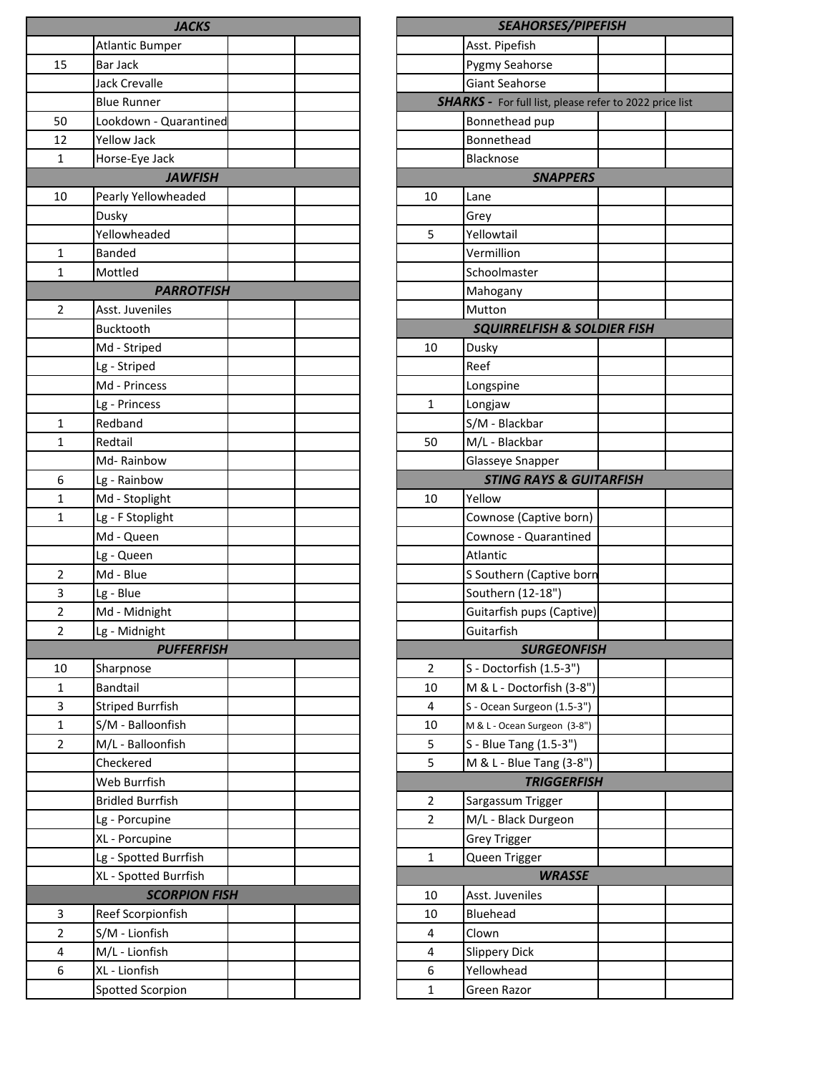|                | <b>JACKS</b>                                  |  |                | <b>SEAHORSES/PIPEFISH</b>                        |  |
|----------------|-----------------------------------------------|--|----------------|--------------------------------------------------|--|
|                | <b>Atlantic Bumper</b>                        |  |                | Asst. Pipefish                                   |  |
| 15             | Bar Jack                                      |  |                | Pygmy Seahorse                                   |  |
|                | <b>Jack Crevalle</b>                          |  |                | <b>Giant Seahorse</b>                            |  |
|                | <b>Blue Runner</b>                            |  |                | <b>SHARKS</b> - For full list, please refer to 2 |  |
| 50             | Lookdown - Quarantined                        |  |                | Bonnethead pup                                   |  |
| 12             | Yellow Jack                                   |  |                | Bonnethead                                       |  |
| 1              | Horse-Eye Jack                                |  |                | Blacknose                                        |  |
|                | <b>JAWFISH</b>                                |  |                | <b>SNAPPERS</b>                                  |  |
| 10             | Pearly Yellowheaded                           |  | 10             | Lane                                             |  |
|                | Dusky                                         |  |                | Grey                                             |  |
|                | Yellowheaded                                  |  | 5              | Yellowtail                                       |  |
| $\mathbf{1}$   | <b>Banded</b>                                 |  |                | Vermillion                                       |  |
| 1              | Mottled                                       |  |                | Schoolmaster                                     |  |
|                | <b>PARROTFISH</b>                             |  |                | Mahogany                                         |  |
| 2              | Asst. Juveniles                               |  |                | Mutton                                           |  |
|                | <b>Bucktooth</b>                              |  |                | <b>SQUIRRELFISH &amp; SOLDIER</b>                |  |
|                | Md - Striped                                  |  | 10             | Dusky                                            |  |
|                | Lg - Striped                                  |  |                | Reef                                             |  |
|                | Md - Princess                                 |  |                | Longspine                                        |  |
|                | Lg - Princess                                 |  | $\mathbf{1}$   | Longjaw                                          |  |
| 1              | Redband                                       |  |                | S/M - Blackbar                                   |  |
| $\mathbf{1}$   | Redtail                                       |  | 50             | M/L - Blackbar                                   |  |
|                | Md-Rainbow                                    |  |                | Glasseye Snapper                                 |  |
| 6              | Lg - Rainbow                                  |  |                | <b>STING RAYS &amp; GUITARFI.</b>                |  |
| $\mathbf{1}$   | Md - Stoplight                                |  | 10             | Yellow                                           |  |
| $\mathbf{1}$   | Lg - F Stoplight                              |  |                | Cownose (Captive born)                           |  |
|                | Md - Queen                                    |  |                | Cownose - Quarantined                            |  |
|                | Lg - Queen                                    |  |                | Atlantic                                         |  |
| $\overline{2}$ | Md - Blue                                     |  |                | S Southern (Captive born                         |  |
| 3              | Lg - Blue                                     |  |                | Southern (12-18")                                |  |
| $\overline{2}$ | Md - Midnight                                 |  |                | Guitarfish pups (Captive)                        |  |
| 2              | Lg - Midnight                                 |  |                | Guitarfish                                       |  |
|                | <b>PUFFERFISH</b>                             |  |                | <b>SURGEONFISH</b>                               |  |
| 10             | Sharpnose                                     |  | $\overline{2}$ | S - Doctorfish (1.5-3")                          |  |
| $\mathbf{1}$   | <b>Bandtail</b>                               |  | 10             | M & L - Doctorfish (3-8")                        |  |
| 3              | <b>Striped Burrfish</b>                       |  | 4              | S - Ocean Surgeon (1.5-3")                       |  |
| $\mathbf{1}$   | S/M - Balloonfish                             |  | 10             | M & L - Ocean Surgeon (3-8")                     |  |
| $\overline{2}$ | M/L - Balloonfish                             |  | 5              | S - Blue Tang (1.5-3")                           |  |
|                | Checkered                                     |  | 5              | M & L - Blue Tang (3-8")                         |  |
|                | Web Burrfish                                  |  |                | <b>TRIGGERFISH</b>                               |  |
|                | <b>Bridled Burrfish</b>                       |  | $\overline{2}$ | Sargassum Trigger                                |  |
|                | Lg - Porcupine                                |  | $\overline{2}$ | M/L - Black Durgeon                              |  |
|                |                                               |  |                |                                                  |  |
|                | XL - Porcupine                                |  |                | <b>Grey Trigger</b>                              |  |
|                | Lg - Spotted Burrfish                         |  | 1              | Queen Trigger                                    |  |
|                | XL - Spotted Burrfish<br><b>SCORPION FISH</b> |  |                | <b>WRASSE</b>                                    |  |
|                |                                               |  | 10             | Asst. Juveniles                                  |  |
| 3              | Reef Scorpionfish                             |  | 10             | Bluehead                                         |  |
| $\overline{2}$ | S/M - Lionfish                                |  | 4              | Clown                                            |  |
| 4              | M/L - Lionfish                                |  | 4              | <b>Slippery Dick</b>                             |  |
| 6              | XL - Lionfish                                 |  | 6              | Yellowhead                                       |  |
|                | Spotted Scorpion                              |  | $\mathbf{1}$   | Green Razor                                      |  |

|    | SEAHORSES/PIPEFISH                                             |  |
|----|----------------------------------------------------------------|--|
|    | Asst. Pipefish                                                 |  |
|    | Pygmy Seahorse                                                 |  |
|    | <b>Giant Seahorse</b>                                          |  |
|    | <b>SHARKS</b> - For full list, please refer to 2022 price list |  |
|    | Bonnethead pup                                                 |  |
|    | Bonnethead                                                     |  |
|    | <b>Blacknose</b>                                               |  |
|    | <b>SNAPPERS</b>                                                |  |
| 10 | Lane                                                           |  |
|    | Grey                                                           |  |
| 5  | Yellowtail                                                     |  |
|    | Vermillion                                                     |  |
|    | Schoolmaster                                                   |  |
|    | Mahogany                                                       |  |
|    | Mutton                                                         |  |
|    | <b>SQUIRRELFISH &amp; SOLDIER FISH</b>                         |  |
| 10 | Dusky                                                          |  |
|    | Reef                                                           |  |
|    | Longspine                                                      |  |
| 1  | Longjaw                                                        |  |
|    | S/M - Blackbar                                                 |  |
| 50 | M/L - Blackbar                                                 |  |
|    | Glasseye Snapper                                               |  |
|    | <b>STING RAYS &amp; GUITARFISH</b>                             |  |
| 10 | Yellow                                                         |  |
|    | Cownose (Captive born)                                         |  |
|    | Cownose - Quarantined                                          |  |
|    | Atlantic                                                       |  |
|    | S Southern (Captive born                                       |  |
|    | Southern (12-18")                                              |  |
|    | Guitarfish pups (Captive)                                      |  |
|    | Guitarfish                                                     |  |
|    | <b>SURGEONFISH</b>                                             |  |
| 2  | S - Doctorfish (1.5-3")                                        |  |
| 10 | M & L - Doctorfish (3-8")                                      |  |
| 4  | S - Ocean Surgeon (1.5-3")                                     |  |
| 10 | M & L - Ocean Surgeon (3-8")                                   |  |
| 5  | S - Blue Tang (1.5-3")                                         |  |
| 5  | M & L - Blue Tang (3-8")                                       |  |
|    | <b>TRIGGERFISH</b>                                             |  |
| 2  | Sargassum Trigger                                              |  |
| 2  | M/L - Black Durgeon                                            |  |
|    | <b>Grey Trigger</b>                                            |  |
| 1  | Queen Trigger                                                  |  |
|    | <b>WRASSE</b>                                                  |  |
| 10 | Asst. Juveniles                                                |  |
| 10 | Bluehead                                                       |  |
| 4  | Clown                                                          |  |
| 4  | <b>Slippery Dick</b>                                           |  |
| 6  | Yellowhead                                                     |  |
| 1  | Green Razor                                                    |  |
|    |                                                                |  |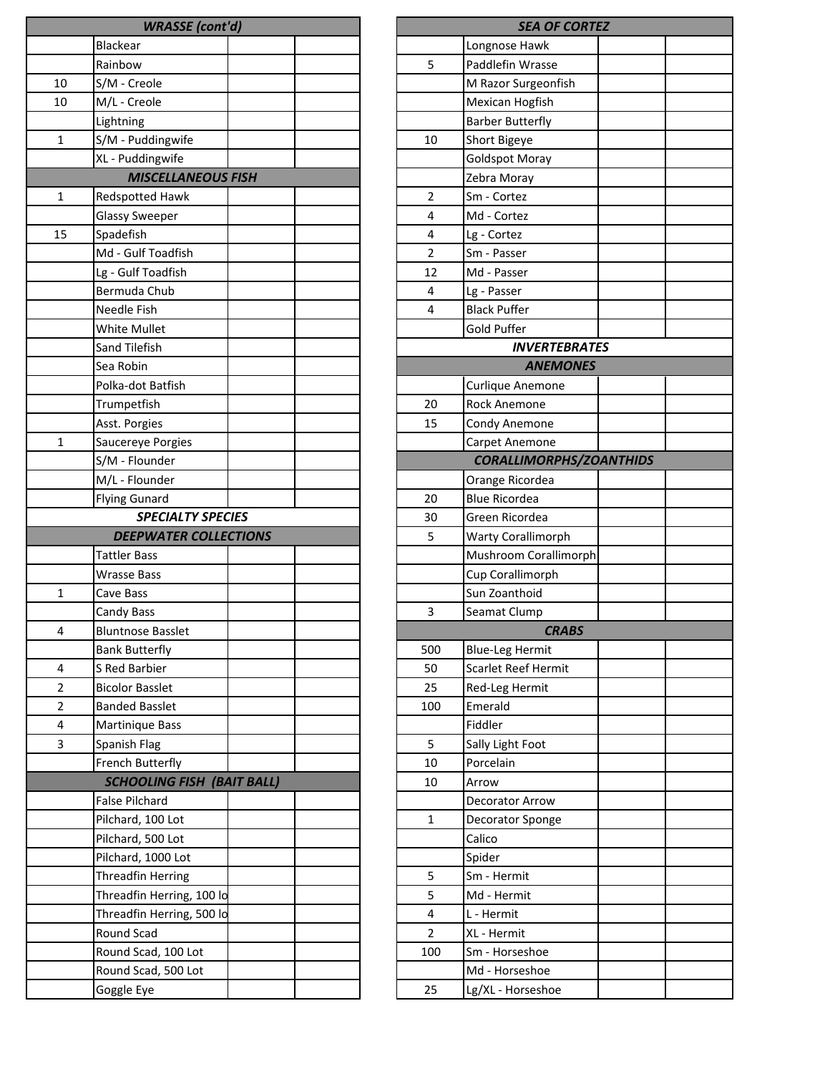|              | <b>WRASSE</b> (cont'd)            |  |                | <b>SEA OF CO</b>        |
|--------------|-----------------------------------|--|----------------|-------------------------|
|              | <b>Blackear</b>                   |  |                | Longnose Hawk           |
|              | Rainbow                           |  | 5              | Paddlefin Wrasse        |
| 10           | S/M - Creole                      |  |                | M Razor Surgeonfish     |
| 10           | M/L - Creole                      |  |                | Mexican Hogfish         |
|              | Lightning                         |  |                | <b>Barber Butterfly</b> |
| $\mathbf{1}$ | S/M - Puddingwife                 |  | 10             | Short Bigeye            |
|              | XL - Puddingwife                  |  |                | <b>Goldspot Moray</b>   |
|              | <b>MISCELLANEOUS FISH</b>         |  |                | Zebra Moray             |
| 1            | Redspotted Hawk                   |  | 2              | Sm - Cortez             |
|              | <b>Glassy Sweeper</b>             |  | 4              | Md - Cortez             |
| 15           | Spadefish                         |  | 4              | Lg - Cortez             |
|              | Md - Gulf Toadfish                |  | $\overline{2}$ | Sm - Passer             |
|              | Lg - Gulf Toadfish                |  | 12             | Md - Passer             |
|              | Bermuda Chub                      |  | 4              | Lg - Passer             |
|              | Needle Fish                       |  | $\overline{4}$ | <b>Black Puffer</b>     |
|              | White Mullet                      |  |                | Gold Puffer             |
|              | Sand Tilefish                     |  |                | <b>INVERTEBI</b>        |
|              | Sea Robin                         |  |                | <b>ANEMOI</b>           |
|              | Polka-dot Batfish                 |  |                | Curlique Anemone        |
|              | Trumpetfish                       |  | 20             | <b>Rock Anemone</b>     |
|              | Asst. Porgies                     |  | 15             | Condy Anemone           |
| 1            | Saucereye Porgies                 |  |                | Carpet Anemone          |
|              | S/M - Flounder                    |  |                | <b>CORALLIMORPHS</b>    |
|              | M/L - Flounder                    |  |                | Orange Ricordea         |
|              | <b>Flying Gunard</b>              |  | 20             | <b>Blue Ricordea</b>    |
|              | <b>SPECIALTY SPECIES</b>          |  | 30             | Green Ricordea          |
|              | <b>DEEPWATER COLLECTIONS</b>      |  | 5              | Warty Corallimorph      |
|              | <b>Tattler Bass</b>               |  |                | Mushroom Corallimo      |
|              | <b>Wrasse Bass</b>                |  |                | Cup Corallimorph        |
| 1            | Cave Bass                         |  |                | Sun Zoanthoid           |
|              | Candy Bass                        |  | 3              | Seamat Clump            |
| 4            | <b>Bluntnose Basslet</b>          |  |                | <i><b>CRAB</b></i>      |
|              | <b>Bank Butterfly</b>             |  | 500            | <b>Blue-Leg Hermit</b>  |
| 4            | S Red Barbier                     |  | 50             | Scarlet Reef Hermit     |
| 2            | <b>Bicolor Basslet</b>            |  | 25             | Red-Leg Hermit          |
| 2            | <b>Banded Basslet</b>             |  | 100            | Emerald                 |
| 4            | Martinique Bass                   |  |                | Fiddler                 |
| 3            | Spanish Flag                      |  | 5              | Sally Light Foot        |
|              | French Butterfly                  |  | 10             | Porcelain               |
|              | <b>SCHOOLING FISH (BAIT BALL)</b> |  | 10             | Arrow                   |
|              | <b>False Pilchard</b>             |  |                | Decorator Arrow         |
|              | Pilchard, 100 Lot                 |  | $\mathbf{1}$   | Decorator Sponge        |
|              | Pilchard, 500 Lot                 |  |                | Calico                  |
|              | Pilchard, 1000 Lot                |  |                | Spider                  |
|              | <b>Threadfin Herring</b>          |  | 5              | Sm - Hermit             |
|              | Threadfin Herring, 100 lo         |  | 5              | Md - Hermit             |
|              | Threadfin Herring, 500 lo         |  | 4              | L - Hermit              |
|              | Round Scad                        |  | 2              | XL - Hermit             |
|              | Round Scad, 100 Lot               |  | 100            | Sm - Horseshoe          |
|              | Round Scad, 500 Lot               |  |                | Md - Horseshoe          |
|              | Goggle Eye                        |  | 25             | Lg/XL - Horseshoe       |
|              |                                   |  |                |                         |

| <b>SEA OF CORTEZ</b> |                                |  |  |  |  |
|----------------------|--------------------------------|--|--|--|--|
|                      | Longnose Hawk                  |  |  |  |  |
| 5                    | Paddlefin Wrasse               |  |  |  |  |
|                      | M Razor Surgeonfish            |  |  |  |  |
|                      | Mexican Hogfish                |  |  |  |  |
|                      | <b>Barber Butterfly</b>        |  |  |  |  |
| 10                   | Short Bigeye                   |  |  |  |  |
|                      | <b>Goldspot Moray</b>          |  |  |  |  |
|                      | Zebra Moray                    |  |  |  |  |
| 2                    | Sm - Cortez                    |  |  |  |  |
| 4                    | Md - Cortez                    |  |  |  |  |
| 4                    | Lg - Cortez                    |  |  |  |  |
| 2                    | Sm - Passer                    |  |  |  |  |
| 12                   | Md - Passer                    |  |  |  |  |
| 4                    | Lg - Passer                    |  |  |  |  |
| 4                    | <b>Black Puffer</b>            |  |  |  |  |
|                      | Gold Puffer                    |  |  |  |  |
|                      | <b>INVERTEBRATES</b>           |  |  |  |  |
|                      | <b>ANEMONES</b>                |  |  |  |  |
|                      | Curlique Anemone               |  |  |  |  |
| 20                   | Rock Anemone                   |  |  |  |  |
| 15                   | Condy Anemone                  |  |  |  |  |
|                      | Carpet Anemone                 |  |  |  |  |
|                      | <b>CORALLIMORPHS/ZOANTHIDS</b> |  |  |  |  |
|                      | Orange Ricordea                |  |  |  |  |
| 20                   | <b>Blue Ricordea</b>           |  |  |  |  |
| 30                   | Green Ricordea                 |  |  |  |  |
| 5                    | <b>Warty Corallimorph</b>      |  |  |  |  |
|                      | Mushroom Corallimorph          |  |  |  |  |
|                      | Cup Corallimorph               |  |  |  |  |
|                      | Sun Zoanthoid                  |  |  |  |  |
| 3                    | Seamat Clump                   |  |  |  |  |
|                      | <b>CRABS</b>                   |  |  |  |  |
| 500                  | <b>Blue-Leg Hermit</b>         |  |  |  |  |
| 50                   | Scarlet Reef Hermit            |  |  |  |  |
| 25                   | Red-Leg Hermit                 |  |  |  |  |
| 100                  | Emerald                        |  |  |  |  |
|                      | Fiddler                        |  |  |  |  |
| 5                    | Sally Light Foot               |  |  |  |  |
| 10                   | Porcelain                      |  |  |  |  |
| 10                   | Arrow                          |  |  |  |  |
|                      | Decorator Arrow                |  |  |  |  |
| 1                    | Decorator Sponge               |  |  |  |  |
|                      | Calico                         |  |  |  |  |
|                      | Spider                         |  |  |  |  |
| 5                    | Sm - Hermit                    |  |  |  |  |
| 5                    | Md - Hermit                    |  |  |  |  |
| 4                    | L - Hermit                     |  |  |  |  |
| 2                    | XL - Hermit                    |  |  |  |  |
| 100                  | Sm - Horseshoe                 |  |  |  |  |
|                      | Md - Horseshoe                 |  |  |  |  |
| 25                   | Lg/XL - Horseshoe              |  |  |  |  |
|                      |                                |  |  |  |  |